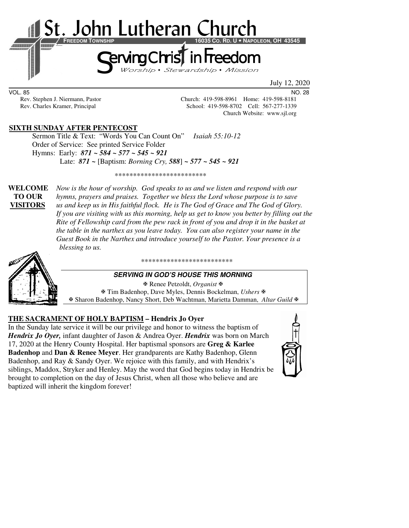

VOL. 85 NO. 28

Rev. Stephen J. Niermann, Pastor Church: 419-598-8961 Home: 419-598-8181 Rev. Charles Kramer, Principal School: 419-598-8702 Cell: 567-277-1339 Church Website: www.sjl.org

# **SIXTH SUNDAY AFTER PENTECOST**

Sermon Title & Text: "Words You Can Count On" *Isaiah 55:10-12*  Order of Service: See printed Service Folder Hymns: Early: *871 ~ 584 ~ 577 ~ 545 ~ 921* Late: *871 ~* [Baptism: *Borning Cry, 588*] *~ 577 ~ 545 ~ 921*

\*\*\*\*\*\*\*\*\*\*\*\*\*\*\*\*\*\*\*\*\*\*\*\*\*

**WELCOME** *Now is the hour of worship. God speaks to us and we listen and respond with our* **TO OUR** *hymns, prayers and praises. Together we bless the Lord whose purpose is to save*  **VISITORS** *us and keep us in His faithful flock. He is The God of Grace and The God of Glory. If you are visiting with us this morning, help us get to know you better by filling out the Rite of Fellowship card from the pew rack in front of you and drop it in the basket at the table in the narthex as you leave today. You can also register your name in the Guest Book in the Narthex and introduce yourself to the Pastor. Your presence is a blessing to us.* 



#### \*\*\*\*\*\*\*\*\*\*\*\*\*\*\*\*\*\*\*\*\*\*\*\*\*

### **SERVING IN GOD'S HOUSE THIS MORNING**

 Renee Petzoldt, *Organist* Tim Badenhop, Dave Myles, Dennis Bockelman, *Ushers* Sharon Badenhop, Nancy Short, Deb Wachtman, Marietta Damman, *Altar Guild*

### **THE SACRAMENT OF HOLY BAPTISM – Hendrix Jo Oyer**

In the Sunday late service it will be our privilege and honor to witness the baptism of *Hendrix Jo Oyer,* infant daughter of Jason & Andrea Oyer. *Hendrix* was born on March 17, 2020 at the Henry County Hospital. Her baptismal sponsors are **Greg & Karlee Badenhop** and **Dan & Renee Meyer**. Her grandparents are Kathy Badenhop, Glenn Badenhop, and Ray & Sandy Oyer. We rejoice with this family, and with Hendrix's siblings, Maddox, Stryker and Henley. May the word that God begins today in Hendrix be brought to completion on the day of Jesus Christ, when all those who believe and are baptized will inherit the kingdom forever!

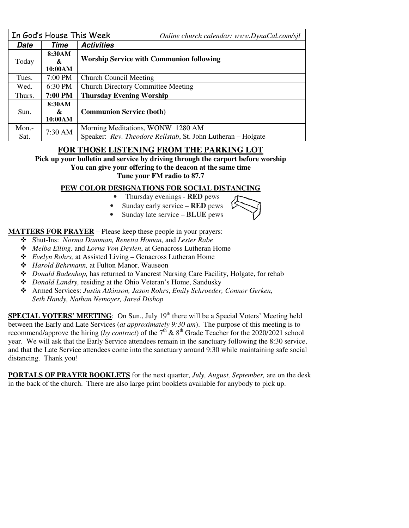|          | In God's House This Week | Online church calendar: www.DynaCal.com/sjl                  |  |
|----------|--------------------------|--------------------------------------------------------------|--|
| Date     | Time                     | <b>Activities</b>                                            |  |
| Today    | 8:30AM                   |                                                              |  |
|          | &                        | <b>Worship Service with Communion following</b>              |  |
|          | 10:00AM                  |                                                              |  |
| Tues.    | $7:00$ PM                | <b>Church Council Meeting</b>                                |  |
| Wed.     | $6:30$ PM                | <b>Church Directory Committee Meeting</b>                    |  |
| Thurs.   | 7:00 PM                  | <b>Thursday Evening Worship</b>                              |  |
| Sun.     | 8:30AM                   | <b>Communion Service (both)</b>                              |  |
|          | &                        |                                                              |  |
|          | 10:00AM                  |                                                              |  |
| $Mon. -$ |                          | Morning Meditations, WONW 1280 AM                            |  |
| Sat.     | 7:30 AM                  | Speaker: Rev. Theodore Rellstab, St. John Lutheran - Holgate |  |

# **FOR THOSE LISTENING FROM THE PARKING LOT**

**Pick up your bulletin and service by driving through the carport before worship** 

**You can give your offering to the deacon at the same time Tune your FM radio to 87.7** 

# **PEW COLOR DESIGNATIONS FOR SOCIAL DISTANCING**

• Thursday evenings - **RED** pews

• Sunday early service – **RED** pews • Sunday late service – **BLUE** pews

# **MATTERS FOR PRAYER** – Please keep these people in your prayers:

- Shut-Ins: *Norma Damman, Renetta Homan,* and *Lester Rabe*
- *Melba Elling,* and *Lorna Von Deylen*, at Genacross Lutheran Home
- *Evelyn Rohrs,* at Assisted Living Genacross Lutheran Home
- *Harold Behrmann,* at Fulton Manor, Wauseon
- *Donald Badenhop,* has returned to Vancrest Nursing Care Facility, Holgate, for rehab
- *Donald Landry,* residing at the Ohio Veteran's Home, Sandusky
- Armed Services: *Justin Atkinson, Jason Rohrs*, *Emily Schroeder, Connor Gerken, Seth Handy, Nathan Nemoyer, Jared Dishop*

**SPECIAL VOTERS' MEETING:** On Sun., July 19<sup>th</sup> there will be a Special Voters' Meeting held between the Early and Late Services (*at approximately 9:30 am*). The purpose of this meeting is to recommend/approve the hiring (*by contract*) of the  $7<sup>th</sup>$  &  $8<sup>th</sup>$  Grade Teacher for the 2020/2021 school year. We will ask that the Early Service attendees remain in the sanctuary following the 8:30 service, and that the Late Service attendees come into the sanctuary around 9:30 while maintaining safe social distancing. Thank you!

**PORTALS OF PRAYER BOOKLETS** for the next quarter, *July, August, September,* are on the desk in the back of the church. There are also large print booklets available for anybody to pick up.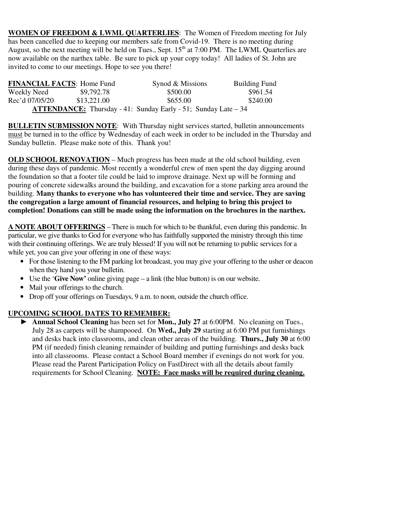**WOMEN OF FREEDOM & LWML QUARTERLIES**: The Women of Freedom meeting for July has been cancelled due to keeping our members safe from Covid-19. There is no meeting during August, so the next meeting will be held on Tues., Sept.  $15<sup>th</sup>$  at 7:00 PM. The LWML Quarterlies are now available on the narthex table. Be sure to pick up your copy today! All ladies of St. John are invited to come to our meetings. Hope to see you there!

| <b>FINANCIAL FACTS: Home Fund</b> |             | Synod & Missions                                                       | <b>Building Fund</b> |
|-----------------------------------|-------------|------------------------------------------------------------------------|----------------------|
| Weekly Need                       | \$9,792.78  | \$500.00                                                               | \$961.54             |
| Rec'd 07/05/20                    | \$13.221.00 | \$655.00                                                               | \$240.00             |
|                                   |             | <b>ATTENDANCE:</b> Thursday - 41: Sunday Early - 51; Sunday Late $-34$ |                      |

**BULLETIN SUBMISSION NOTE**: With Thursday night services started, bulletin announcements must be turned in to the office by Wednesday of each week in order to be included in the Thursday and Sunday bulletin. Please make note of this. Thank you!

**OLD SCHOOL RENOVATION – Much progress has been made at the old school building, even** during these days of pandemic. Most recently a wonderful crew of men spent the day digging around the foundation so that a footer tile could be laid to improve drainage. Next up will be forming and pouring of concrete sidewalks around the building, and excavation for a stone parking area around the building. **Many thanks to everyone who has volunteered their time and service. They are saving the congregation a large amount of financial resources, and helping to bring this project to completion! Donations can still be made using the information on the brochures in the narthex.** 

**A NOTE ABOUT OFFERINGS** – There is much for which to be thankful, even during this pandemic. In particular, we give thanks to God for everyone who has faithfully supported the ministry through this time with their continuing offerings. We are truly blessed! If you will not be returning to public services for a while yet, you can give your offering in one of these ways:

- For those listening to the FM parking lot broadcast, you may give your offering to the usher or deacon when they hand you your bulletin.
- Use the '**Give Now'** online giving page a link (the blue button) is on our website.
- Mail your offerings to the church.
- Drop off your offerings on Tuesdays, 9 a.m. to noon, outside the church office.

# **UPCOMING SCHOOL DATES TO REMEMBER:**

► **Annual School Cleaning** has been set for **Mon., July 27** at 6:00PM. No cleaning on Tues., July 28 as carpets will be shampooed. On **Wed., July 29** starting at 6:00 PM put furnishings and desks back into classrooms, and clean other areas of the building. **Thurs., July 30** at 6:00 PM (if needed) finish cleaning remainder of building and putting furnishings and desks back into all classrooms. Please contact a School Board member if evenings do not work for you. Please read the Parent Participation Policy on FastDirect with all the details about family requirements for School Cleaning. **NOTE: Face masks will be required during cleaning.**